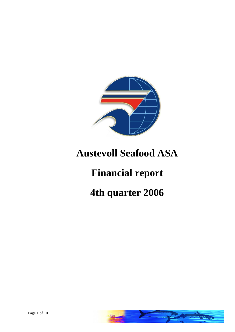

# **Austevoll Seafood ASA**

# **Financial report**

# **4th quarter 2006**

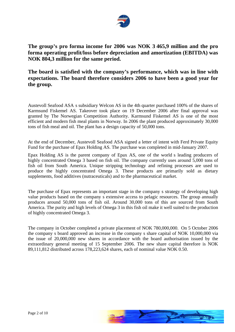

## **The group s pro forma income for 2006 was NOK 3 465,9 million and the pro forma operating profit/loss before depreciation and amortization (EBITDA) was NOK 804,3 million for the same period.**

**The board is satisfied with the companys performance, which was in line with expectations. The board therefore considers 2006 to have been a good year for the group.**

Austevoll Seafood ASA s subsidiary Welcon AS in the 4th quarter purchased 100% of the shares of Karmsund Fiskemel AS. Takeover took place on 19 December 2006 after final approval was granted by The Norwegian Competition Authority. Karmsund Fiskemel AS is one of the most efficient and modern fish meal plants in Norway. In 2006 the plant produced approximately 30,000 tons of fish meal and oil. The plant has a design capacity of 50,000 tons.<br>At the end of December, Austevoll Seafood ASA signed a letter of intent with Ferd Private Equity

Fund for the purchase of Epax Holding AS. The purchase was completed in mid-January 2007.

Epax Holding AS is the parent company of Epax AS, one of the world s leading producers of highly concentrated Omega 3 based on fish oil. The company currently uses around 5,000 tons of fish oil from South America. Unique stripping technology and refining processes are used to produce the highly concentrated Omega 3. These products are primarily sold as dietary supplements, food additives (nutraceuticals) and to the pharmaceutical market.

The purchase of Epax represents an important stage in the company s strategy of developing high value products based on the company s extensive access to pelagic resources. The group annually produces around 50,000 tons of fish oil. Around 30,000 tons of this are sourced from South America. The purity and high levels of Omega 3 in this fish oil make it well suited to the production of highly concentrated Omega 3.

The company in October completed a private placement of NOK 780,000,000. On 5 October 2006 the company s board approved an increase in the company s share capital of NOK 10,000,000 via the issue of 20,000,000 new shares in accordance with the board authorisation issued by the extraordinary general meeting of 15 September 2006. The new share capital therefore is NOK 89,111,812 distributed across 178,223,624 shares, each of nominal value NOK 0.50.

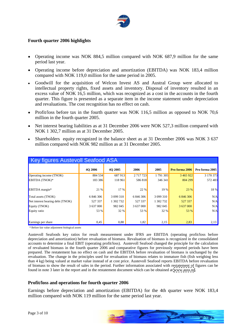

#### **Fourth quarter 2006 highlights**

- Operating income was NOK 884,5 million compared with NOK 687,9 million for the same period last year.
- Operating income before depreciation and amortization (EBITDA) was NOK 183,4 million compared with NOK 119,0 million for the same period in 2005.
- Goodwill for the acquisition of Welcon Invest AS and Austral Group were allocated to intellectual property rights, fixed assets and inventory. Disposal of inventory resulted in an excess value of NOK 16,5 million, which was recognized as a cost in the accounts in the fourth quarter. This figure is presented as a separate item in the income statement under depreciation and revaluations. The cost recognition has no effect on cash.
- Profit/loss before tax in the fourth quarter was NOK 116,5 million as opposed to NOK 70,6 million in the fourth quarter 2005.
- Net interest bearing liabilities as at 31 December 2006 were NOK 527,3 million compared with NOK 1 302,7 million as at 31 December 2005.
- Shareholders equity recognized in the balance sheet as at 31 December 2006 was NOK 3 637 million compared with NOK 982 million as at 31 December 2005.

| Key figures Austevoll Seafood ASA         |           |           |           |           |                                           |          |
|-------------------------------------------|-----------|-----------|-----------|-----------|-------------------------------------------|----------|
|                                           | 4Q 2006   | 4Q 2005   | 2006      |           | 2005 <b>Pro forma 2006</b> Pro forma 2005 |          |
| Operating income (TNOK)<br>EBITDA (TNOK)* | 884 534   | 687 913   | 2 717 723 | 1 791 305 | 3 465 922                                 | 3 170 37 |
|                                           | 183 386   | 118961    | 586 818   | 346 341   | 804 299                                   | 572 483  |
|                                           |           |           |           |           |                                           |          |
| EBITDA margin*                            | 21 %      | $17\%$    |           | 19%       | 3%                                        |          |
|                                           |           |           |           |           |                                           |          |
| Total assets (TNOK)                       | 6 846 306 | 3 099 310 | 6 846 306 | 3 099 310 | 6 846 306                                 |          |
| Net interest bearing debt (TNOK)          | 527 337   | 1 302 732 | 527 337   | 1 302 732 | 527 337                                   |          |
| Equity (TNOK)<br>Equity ratio             | 3 637 000 | 982 045   | 3 637 000 | 982 045   | 3 637 000                                 |          |
|                                           | 53 %      |           |           | $32\%$    | $5\%$                                     |          |
|                                           |           |           |           |           |                                           |          |
|                                           |           |           |           |           |                                           |          |
| Earnings per share                        | 0.45      | 0.88      | 1.82      |           | $2.85 \pm$                                |          |

\* Before fair value adjustment biological assets

Austevoll Seafoods key ratios for result measurement under IFRS are EBITDA (operating profit/loss before depreciation and amortization) before revaluation of biomass. Revaluation of biomass is recognized in the consolidated accounts to determine a final EBIT (operating profit/loss). Austevoll Seafood changed the principle for the calculation of revaluated biomass in the fourth quarter 2006 and comparative figures for previously reported periods havebeen prepared. The restatement has no effect on cash and the EBITDA before revaluation of biomass is unchanged by the revaluation. The change in the principles used for revaluation of biomass relates to immature fish (fish weighing less than 4 kg) being valued at market value instead of at cost price. Austevoll Seafood reports EBITDA before revaluation of biomass to show the result of sales in the period. Further information associated with restatement of figures can be found in note 3 later in the report and in the restatement document which can be obtained at [www.auss.no](http://www.auss.no).

#### **Profit/loss and operations for fourth quarter 2006**

Earnings before depreciation and amortization (EBITDA) for the 4th quarter were NOK 183,4 million compared with NOK 119 million for the same period last year.



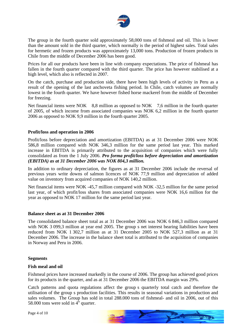

The group in the fourth quarter sold approximately 58,000 tons of fishmeal and oil. This is lower than the amount sold in the third quarter, which normally is the period of highest sales. Total sales for hermetic and frozen products was approximately 13,000 tons. Production of frozen products in Chile from the middle of December 2006 has been good.

Prices for all our products have been in line with company expectations. The price of fishmeal has fallen in the fourth quarter compared with the third quarter. The price has however stabilised at a high level, which also is reflected in 2007.

On the catch, purchase and production side, there have been high levels of activity in Peru as a result of the opening of the last anchoveta fishing period. In Chile, catch volumes are normally lowest in the fourth quarter. We have however fished horse mackerel from the middle of December for freezing.

Net financial items were NOK 8,8 million as opposed to NOK 7,6 million in the fourth quarter of 2005, of which income from associated companies was NOK 6,2 million in the fourth quarter 2006 as opposed to NOK 9,9 million in the fourth quarter 2005.

#### **Profit/loss and operation in 2006**

Profit/loss before depreciation and amortization (EBITDA) as at 31 December 2006 were NOK 586,8 million compared with NOK 346,3 million for the same period last year. This marked increase in EBITDA is primarily attributed to the acquisition of companies which were fully consolidated as from the 1 July 2006. *Pro forma profit/loss before depreciation and amortization (EBITDA) as at 31 December 2006 was NOK 804,3 million.*

In addition to ordinary depreciation, the figures as at 31 December 2006 include the reversal of previous years write downs of salmon licences of NOK 77,9 million and depreciation of added value on inventory from acquired companies of NOK 140,2 million.

Net financial items were NOK -45,7 million compared with NOK -32,5 million for the same period last year, of which profit/loss shares from associated companies were NOK 16,6 million for the year as opposed to NOK 17 million for the same period last year.

#### **Balance sheet as at 31 December2006**

The consolidated balance sheet total as at 31 December 2006 was NOK 6 846,3 million compared with NOK 3 099,3 million at year end 2005. The group s net interest bearing liabilities have been reduced from NOK 1 302,7 million as at 31 December 2005 to NOK 527,3 million as at 31 December 2006. The increase in the balance sheet total is attributed to the acquisition of companies in Norway and Peru in 2006.

#### **Segments**

#### **Fish meal and oil**

Fishmeal prices have increased markedly in the course of 2006. The group has achieved good prices for its products in the quarter, and as at 31 December 2006 the EBITDA margin was 29%.

Catch patterns and quota regulations affect the group s quarterly total catch and therefore the utilisation of the group s production facilities. This results in seasonal variations in production and sales volumes. The Group has sold in total 288.000 tons of fishmeal- and oil in 2006, out of this 58.000 tons were sold in  $4^{\text{th}}$  quarter.  $\frac{th}{\cos \theta}$ 

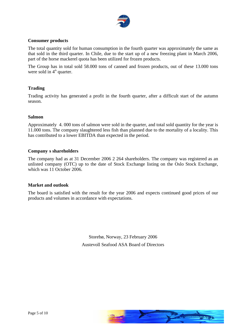

#### **Consumer products**

The total quantity sold for human consumption in the fourth quarter was approximately the same as that sold in the third quarter. In Chile, due to the start up of a new freezing plant in March 2006, part of the horse mackerel quota has been utilized for frozen products.

The Group has in total sold 58.000 tons of canned and frozen products, out of these 13.000 tons were sold in  $4^{\text{th}}$  quarter.  $\frac{1}{2}$  the contract of the contract of the contract of the contract of the contract of the contract of the contract of the contract of the contract of the contract of the contract of the contract of the contract of the

#### **Trading**

Trading activity has generated a profit in the fourth quarter, after a difficult start of the autumn season.

#### **Salmon**

Approximately 4. 000 tons of salmon were sold in the quarter, and total sold quantity for the year is 11.000 tons. The company slaughtered less fish than planned due to the mortality of a locality. This has contributed to a lower EBITDA than expected in the period.

#### **Company s shareholders**

The company had as at 31 December 2006 2 264 shareholders. The company was registered as an unlisted company (OTC) up to the date of Stock Exchange listing on the Oslo Stock Exchange, which was 11 October 2006.

#### **Market and outlook**

The board is satisfied with the result for the year 2006 and expects continued good prices of our products and volumes in accordance with expectations.

> Storebø, Norway, 23 February 2006 Austevoll Seafood ASA Board of Directors

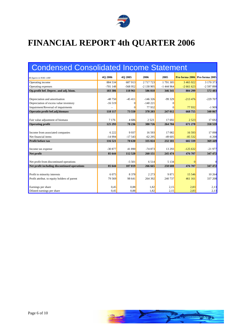

## **FINANCIAL REPORT 4th QUARTER 2006**

| <b>Condensed Consolidated Income Statement</b> |              |               |                    |              |                               |                  |
|------------------------------------------------|--------------|---------------|--------------------|--------------|-------------------------------|------------------|
| All figures in NOK 1.000                       | 4Q 2006      | 4Q 2005       | 2006               | 2005         | Pro forma 2006 Pro forma 2005 |                  |
| Operating income                               | 884 534      | 687 913       | 2 7 1 7 7 2 3      | 1 791 305    | 3 4 6 5 9 2 2                 | 3 170 373        |
| Operating expenses                             | $-701148$    | $-568952$     | $-2$ 130 905       | $-1444964$   | $-266162$                     | $-2597890$       |
| Op.profit bef. Deprec. and adj. biom.          | 183 386      | 118 961       | 586 818            | 346 341      | 804 299                       | 572 483          |
|                                                |              |               |                    |              |                               |                  |
| Depreciation and amortisation                  | $-48750$     | $-45411$      | $-146326$          | $-99329$     | $-213476$                     | $-229707$        |
| Depreciation of excess value inventory         | $-16519$     |               | $-140221$          |              |                               |                  |
| Impairment/Reversal of impairments             | $\sim$       |               | 77 932             |              | 77932                         | $-1909$          |
| Operatin profit bef.adj.biomass                | 118 117      | <b>73 550</b> | 378 203            | 247 012      | 668 755                       | 340 867          |
|                                                |              |               |                    |              |                               |                  |
| Fair value adjustment of biomass               | 7 1 7 6      | 4 6 8 6       | 2 5 2 3            | 17 692       | 2 5 2 3                       | 17 692           |
| Operating profit                               | 125 293      | 78 236        | 380 726            | 264 704      | 671 278                       | 358 559          |
|                                                |              |               |                    |              |                               |                  |
| Income from associated companies               | 6 2 2 2      | 9937          | 16 593             | 17 082       | 16 5 93                       | 17 098           |
| Net financial items                            | $-14994$     | $-17543$      | $-62295$           | $-49605$     | $-85532$                      | $-6208$          |
| <b>Profit before tax</b>                       | 116 521      | 70 630        | 335 024            | 232 181      | 602 339                       | 369 449          |
|                                                |              |               |                    |              |                               |                  |
| Income tax expense                             | $-30877$     | 41 890        | $-74873$           | 13 29 3      | $-125632$                     | $-21977$         |
| Net profit                                     | 85 644       | 112 520       | 260151             | 245 474      | 476 707                       | 347 472          |
|                                                |              |               |                    |              |                               |                  |
| Net profit from discontinued operations        |              | $-5501$       | 6 5 1 4<br>266 665 | 5134         |                               |                  |
| Net profit including discontinued operations   | 85 644       | 107019        |                    | 250 608      | 476 707                       | 347 472          |
|                                                |              |               |                    |              | 15 5 46                       |                  |
| Profit to minority interests                   | 6 0 7 5      | 8 3 7 8       | 2 2 7 3<br>264 392 | 9 8 7 1      | 461 161                       | 10264<br>337 208 |
| Profit attribut. to equity holders of parent   | 79 569       | 98 641        |                    | 240 737      |                               |                  |
|                                                |              |               |                    |              |                               |                  |
| Earnings per share                             | 0,45<br>0.45 | 0,88<br>0.88  | 1,82<br>1.82       | 2,15<br>2.15 | 2,83<br>283                   | 2,13<br>2.13     |
| Diluted earnings per share                     |              |               |                    |              |                               |                  |

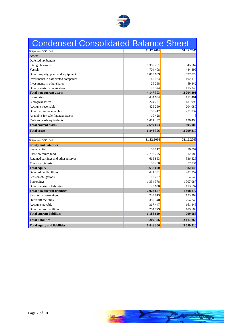

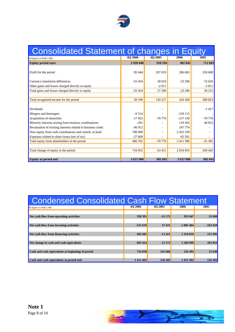

| <b>Consolidated Statement of changes in Equity</b>          |             |                   |               |          |
|-------------------------------------------------------------|-------------|-------------------|---------------|----------|
| All figures in NOK 1.000                                    | 4Q 2006     | 4Q 2005           | 2006          | 2005     |
| <b>Equity period start</b>                                  | 2 9 20 0 48 | 918594            | 982 045       | 712 60   |
| Profit for the period                                       | 85 644      | 107 019           | 266 665       | 250 608  |
| Currency translation differences                            | $-55454$    | 30 019            | $-23296$      | 53 0 26  |
| Other gains and losses charged directly to equity           |             | $-2811$           |               | $-2811$  |
| Total gains and losses charged directly to equity           | $-55454$    | 27 208            | $-23296$      | 50 215   |
| Total recognised income for the period                      | 30190       | 134 227           | 243 369       | 300 823  |
| Dividends                                                   |             |                   |               | $-1417$  |
| Mergers and demergers                                       | $-6514$     |                   | $-126115$     |          |
| Acquisition of minorities                                   | $-17852$    | $-70776$          | $-217136$     | $-70776$ |
| Minority interests arising from business combinations       | $-291$      | $\sim$            | 119 365       | 40 812   |
| Revaluation of existing interests related to business comb. | $-40912$    | $\sim$ 100 $\sim$ | 247 774       | $\sim$   |
| New equity from cash contributions and contrib. in kind     | 780 000     | $\sim$ $ \sim$    | 2 453 199     |          |
| Expenses related to share issues (net of tax)               | $-27669$    | $\sim$            | $-65501$      |          |
| Total equity from shareholders in the period                | 686 762     | $-70776$          | 2 4 1 1 5 8 6 | $-31381$ |
| Total change of equity in the period                        | 716952      | 63 451            | 2 654 955     | 269 442  |
| <b>Equity at period end</b>                                 | 3 637 000   | 982 045           | 3 637 000     | 982 045  |

| <b>d Consolidated Cash Flow Statement</b><br>Condensed |                |          |                |           |
|--------------------------------------------------------|----------------|----------|----------------|-----------|
| All figures in NOK 1.000                               | <b>4Q 2006</b> | 4Q 2005  | 2006           | 2005      |
| Net cash flow from operating activities                | 358 391        | $-31173$ | 935647         | 53 690    |
| Net cash flow from investing activities                | $-155619$      | 27421    | $-1005464$     | $-162829$ |
| Net cash flow from financing activities                | 492 682        | $-11421$ | 1 354 816      | 212 992   |
| Net change in cash and cash equivalents                | 695 454        | $-15173$ | 1 284 999      | 103 853   |
| Cash and cash equivalents at beginning of period       | 716 038        | 141 666  | <b>126 493</b> | 22 640    |
| Cash and cash equivalents at period end                |                |          |                |           |

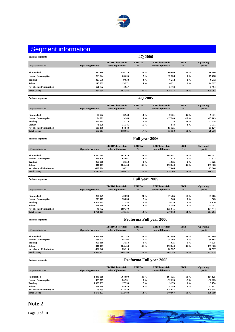

## Segment information

| <b>Business segments</b>                                                                           | 4Q 2006                                                                                                                                                                                                                                                                                                                                                                                                                                               |  |
|----------------------------------------------------------------------------------------------------|-------------------------------------------------------------------------------------------------------------------------------------------------------------------------------------------------------------------------------------------------------------------------------------------------------------------------------------------------------------------------------------------------------------------------------------------------------|--|
|                                                                                                    | EBITDA before fair EBITDA EBIT before fair<br><b>EBIT</b><br><b>Operating</b>                                                                                                                                                                                                                                                                                                                                                                         |  |
| All figures in NOK 1.000                                                                           | Operating revenue value adj.biomass % value adj.biomass % profit                                                                                                                                                                                                                                                                                                                                                                                      |  |
| <b>Fishmeal/oil</b>                                                                                | 427 360<br>136 229<br>$32\%$<br>90 690<br>21 %<br>90 690                                                                                                                                                                                                                                                                                                                                                                                              |  |
| <b>Human Consumption</b>                                                                           | 26 205<br>$12\%$<br>19758<br>19758<br>209 824<br>9%                                                                                                                                                                                                                                                                                                                                                                                                   |  |
| <b>Trading</b>                                                                                     | 323 530<br>9 0 3 8<br>6 2 1 2<br>6 2 1 2<br>$3\%$<br>$2\%$                                                                                                                                                                                                                                                                                                                                                                                            |  |
| Salmon<br>Not allocated/elimination                                                                | 115 552<br>15 971<br>14 %<br>6921<br>14 097<br>$6\%$<br>-191 732<br>$-4057$<br>$-5464$<br>$-5464$                                                                                                                                                                                                                                                                                                                                                     |  |
| <b>Total Group</b>                                                                                 | 884 534<br>118 117 13 %<br>183 386<br>$21 \%$<br>125 293                                                                                                                                                                                                                                                                                                                                                                                              |  |
|                                                                                                    |                                                                                                                                                                                                                                                                                                                                                                                                                                                       |  |
| <b>Business segments</b>                                                                           | 4Q 2005                                                                                                                                                                                                                                                                                                                                                                                                                                               |  |
|                                                                                                    |                                                                                                                                                                                                                                                                                                                                                                                                                                                       |  |
| All figures in NOK 1.000                                                                           | EBITDA before fair EBITDA EBIT before fair<br><b>EBIT</b><br><b>Operating</b><br>Operating revenue value adj.biomass % value adj.biomass % %<br>profit                                                                                                                                                                                                                                                                                                |  |
|                                                                                                    |                                                                                                                                                                                                                                                                                                                                                                                                                                                       |  |
| Fishmeal/oil<br>Human Consumption<br>Trading                                                       | 3948<br>9 3 3 1<br>20 542<br>19%<br>45 %<br>9 3 3 1                                                                                                                                                                                                                                                                                                                                                                                                   |  |
|                                                                                                    | 94 281<br>9 1 4 9<br>10 %<br>$-17209$<br>$-18 \%$<br>$-17209$<br>363 615<br>$-2724$<br>$-2724$<br>$-120$<br>$0\%$<br>$-1\%$                                                                                                                                                                                                                                                                                                                           |  |
| Salmon<br>Not allocated/elimination                                                                | 71 079<br>11 141<br>$-973$<br>$16\%$<br>3711<br>$-1\%$                                                                                                                                                                                                                                                                                                                                                                                                |  |
|                                                                                                    | 138 396<br>85 125<br>94 843<br>85 127                                                                                                                                                                                                                                                                                                                                                                                                                 |  |
| <b>Total Group</b>                                                                                 | 687913<br>$17 \%$<br>73 550 11 %<br>118 961<br>78 236                                                                                                                                                                                                                                                                                                                                                                                                 |  |
| <b>Business segments</b>                                                                           | <b>Full year 2006</b>                                                                                                                                                                                                                                                                                                                                                                                                                                 |  |
|                                                                                                    |                                                                                                                                                                                                                                                                                                                                                                                                                                                       |  |
|                                                                                                    | EBITDA before fair EBITDA EBIT before fair<br><b>EBIT</b><br><b>Operating</b>                                                                                                                                                                                                                                                                                                                                                                         |  |
| All figures in NOK 1.000                                                                           | $\sim$ $\frac{9}{6}$<br>value adj.biomass and the set of the set of the set of the set of the set of the set of the set of the set of the set of the set of the set of the set of the set of the set of the set of the set of the set of the set of th<br>profit<br>Operating revenue value adj.biomass                                                                                                                                               |  |
|                                                                                                    | 29 %<br>185 051<br>1 367 064<br>397 629<br>185 051<br>$14\%$                                                                                                                                                                                                                                                                                                                                                                                          |  |
| <b>Fishmeal/oil</b><br>Human Consumption                                                           | 27872<br>27872<br>456 378<br>64 661<br>$14\%$<br>$6\%$                                                                                                                                                                                                                                                                                                                                                                                                |  |
|                                                                                                    | 950 880<br>3 5 5 3<br>$0\%$<br>$-4625$<br>-4 625<br>$0\%$                                                                                                                                                                                                                                                                                                                                                                                             |  |
| Trading<br>Salmon<br>Not allocated/elimination                                                     | 104 453<br>152 840<br>341 165<br>31 %<br>45 %<br>155 363<br>-397 764<br>16 521<br>17 066<br>17 066                                                                                                                                                                                                                                                                                                                                                    |  |
| <b>Total Group</b>                                                                                 | 2 717 723<br>586 817<br>$22\frac{9}{6}$<br>378 204 14 %<br>380 727                                                                                                                                                                                                                                                                                                                                                                                    |  |
|                                                                                                    |                                                                                                                                                                                                                                                                                                                                                                                                                                                       |  |
| the contract of the contract of the contract of                                                    | and the control of the control of the control of the control of the control of the control of the control of the                                                                                                                                                                                                                                                                                                                                      |  |
| <b>Business segments</b>                                                                           | <b>Full year 2005</b>                                                                                                                                                                                                                                                                                                                                                                                                                                 |  |
|                                                                                                    |                                                                                                                                                                                                                                                                                                                                                                                                                                                       |  |
|                                                                                                    | EBITDA before fair EBITDA EBIT before fair<br><b>EBIT</b><br><b>Operating</b><br>$\frac{1}{2}$ $\frac{1}{2}$ $\frac{1}{2}$ $\frac{1}{2}$ $\frac{1}{2}$ $\frac{1}{2}$ $\frac{1}{2}$ $\frac{1}{2}$ $\frac{1}{2}$ $\frac{1}{2}$ $\frac{1}{2}$ $\frac{1}{2}$ $\frac{1}{2}$ $\frac{1}{2}$ $\frac{1}{2}$ $\frac{1}{2}$ $\frac{1}{2}$ $\frac{1}{2}$ $\frac{1}{2}$ $\frac{1}{2}$ $\frac{1}{2}$ $\frac{1}{2}$<br>profit<br>Operating revenue value adj.biomass |  |
| All figures in NOK 1.000                                                                           |                                                                                                                                                                                                                                                                                                                                                                                                                                                       |  |
|                                                                                                    | 37 485<br>206 029<br>40 894<br>20 %<br>18 %<br>37 485<br>563                                                                                                                                                                                                                                                                                                                                                                                          |  |
| Fishmeal/oil<br>Human Consumption<br><b>Trading</b>                                                | 273 177<br>33 035<br>12 %<br>563<br>$0\%$<br>1 009 933<br>17 353<br>9 1 7 0<br>$2\%$<br>$1\%$<br>9 1 7 0                                                                                                                                                                                                                                                                                                                                              |  |
|                                                                                                    | 348 918<br>55 680<br>$16\%$<br>24 150<br>23 042<br>$7\%$                                                                                                                                                                                                                                                                                                                                                                                              |  |
| Salmon<br>Not allocated/elimination                                                                | -46 752<br>199 379<br>175 645<br>194 444<br>1791305<br>264 704                                                                                                                                                                                                                                                                                                                                                                                        |  |
| <b>Total Group</b>                                                                                 | 346 341 19 %<br>247 013 14 %                                                                                                                                                                                                                                                                                                                                                                                                                          |  |
| <b>Business segments</b>                                                                           |                                                                                                                                                                                                                                                                                                                                                                                                                                                       |  |
|                                                                                                    | Proforma Full year 2006                                                                                                                                                                                                                                                                                                                                                                                                                               |  |
|                                                                                                    | <b>EBITDA</b> before fair <b>EBITDA EBIT</b> before fair<br><b>EBIT</b><br>Operating                                                                                                                                                                                                                                                                                                                                                                  |  |
| All figures in NOK 1.000                                                                           | Operating revenue value adj.biomass % value adj.biomass %<br>profit                                                                                                                                                                                                                                                                                                                                                                                   |  |
|                                                                                                    | 461 899<br>461 899                                                                                                                                                                                                                                                                                                                                                                                                                                    |  |
|                                                                                                    |                                                                                                                                                                                                                                                                                                                                                                                                                                                       |  |
|                                                                                                    | 587 784<br>85 193<br>3 553<br>1 995 450<br>581 073<br>950 880<br>$29\%$<br>15 %<br>0 %<br>$23\%$<br>7 %<br>0 %                                                                                                                                                                                                                                                                                                                                        |  |
|                                                                                                    | 38 104<br>-4 625<br>152 840<br>20 537<br>38 104<br>-4 625<br>155 363<br>20 537<br>341 165<br>-402 646<br>104 453<br>31 %<br>45 %<br>23 316                                                                                                                                                                                                                                                                                                            |  |
| Fishmeal/oil<br>Human Consumption<br>Trading<br>Salmon<br>Not allocated/elimination<br>Total Group | $668\,755$ 19 %<br>3 4 6 5 9 2 2<br>804 299<br>671 278<br>23 %                                                                                                                                                                                                                                                                                                                                                                                        |  |
| <b>Contract Contract Contract Contract</b>                                                         |                                                                                                                                                                                                                                                                                                                                                                                                                                                       |  |
| $\label{eq:subs} \textbf{Business segments}$                                                       | <b>Proforma Full year 2005</b>                                                                                                                                                                                                                                                                                                                                                                                                                        |  |
|                                                                                                    |                                                                                                                                                                                                                                                                                                                                                                                                                                                       |  |
| .<br>All figures in NOK 1.000                                                                      | EBITDA before fair EBITDA<br>value adj.biomass %<br><b>EBIT</b> before fair<br>value adj.biomass<br>$EBIT$ %<br><b>Operating<br/>profit</b><br>Operating revenue<br>value adj.biomass                                                                                                                                                                                                                                                                 |  |
|                                                                                                    |                                                                                                                                                                                                                                                                                                                                                                                                                                                       |  |
|                                                                                                    | 1 448 968<br>409 309                                                                                                                                                                                                                                                                                                                                                                                                                                  |  |
|                                                                                                    | $\frac{21\%}{5\%}$<br>1 009 933                                                                                                                                                                                                                                                                                                                                                                                                                       |  |
|                                                                                                    | 11 %<br>-8 %<br>1 %<br>7 %<br>$\begin{array}{r} 164 \ 125 \\ -32 \ 223 \\ \hline 9 \ 170 \\ 41 \ 842 \end{array}$<br>$\frac{2\%}{16\%}$                                                                                                                                                                                                                                                                                                               |  |
| Fishmeal/oil<br>Human Consumption<br>Trading<br>Salmon<br>Not allocated/elimination<br>Total Group | 164 125<br>-32 223<br>9 170<br>24 150<br>175 645<br>304 090<br>20 931<br>17 353<br>55 680<br>174 429<br>348 918<br>-46 755<br>175 645<br>3 170 373<br>572 483<br>340 867 11 %<br>358 559<br>18 %                                                                                                                                                                                                                                                      |  |

## **Note 2**